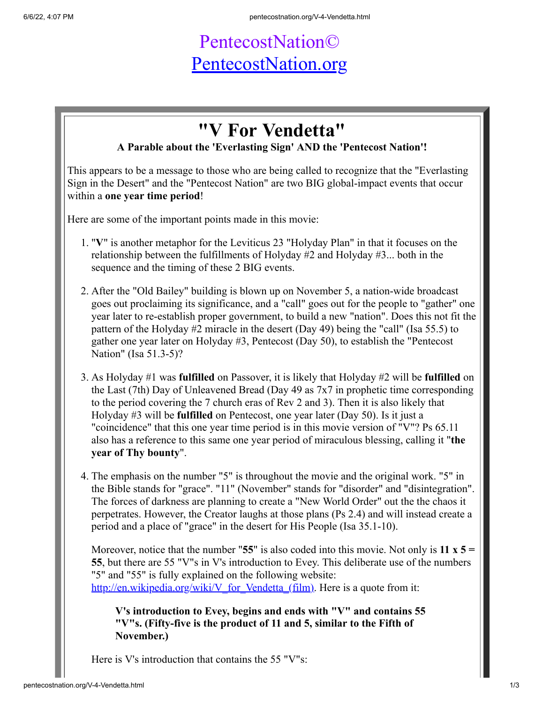## PentecostNation© [PentecostNation.org](http://pentecostnation.org/)

## **"V For Vendetta"**

## **A Parable about the 'Everlasting Sign' AND the 'Pentecost Nation'!**

This appears to be a message to those who are being called to recognize that the "Everlasting Sign in the Desert" and the "Pentecost Nation" are two BIG global-impact events that occur within a **one year time period**!

Here are some of the important points made in this movie:

- 1. "**V**" is another metaphor for the Leviticus 23 "Holyday Plan" in that it focuses on the relationship between the fulfillments of Holyday #2 and Holyday #3... both in the sequence and the timing of these 2 BIG events.
- 2. After the "Old Bailey" building is blown up on November 5, a nation-wide broadcast goes out proclaiming its significance, and a "call" goes out for the people to "gather" one year later to re-establish proper government, to build a new "nation". Does this not fit the pattern of the Holyday #2 miracle in the desert (Day 49) being the "call" (Isa 55.5) to gather one year later on Holyday #3, Pentecost (Day 50), to establish the "Pentecost Nation" (Isa 51.3-5)?
- 3. As Holyday #1 was **fulfilled** on Passover, it is likely that Holyday #2 will be **fulfilled** on the Last (7th) Day of Unleavened Bread (Day 49 as 7x7 in prophetic time corresponding to the period covering the 7 church eras of Rev 2 and 3). Then it is also likely that Holyday #3 will be **fulfilled** on Pentecost, one year later (Day 50). Is it just a "coincidence" that this one year time period is in this movie version of "V"? Ps 65.11 also has a reference to this same one year period of miraculous blessing, calling it "**the year of Thy bounty**".
- 4. The emphasis on the number "5" is throughout the movie and the original work. "5" in the Bible stands for "grace". "11" (November" stands for "disorder" and "disintegration". The forces of darkness are planning to create a "New World Order" out the the chaos it perpetrates. However, the Creator laughs at those plans (Ps 2.4) and will instead create a period and a place of "grace" in the desert for His People (Isa 35.1-10).

Moreover, notice that the number "**55**" is also coded into this movie. Not only is **11 x 5 = 55**, but there are 55 "V"s in V's introduction to Evey. This deliberate use of the numbers "5" and "55" is fully explained on the following website: http://en.wikipedia.org/wiki/V for Vendetta (film). Here is a quote from it:

**V's introduction to Evey, begins and ends with "V" and contains 55 "V"s. (Fifty-five is the product of 11 and 5, similar to the Fifth of November.)**

Here is V's introduction that contains the 55 "V"s: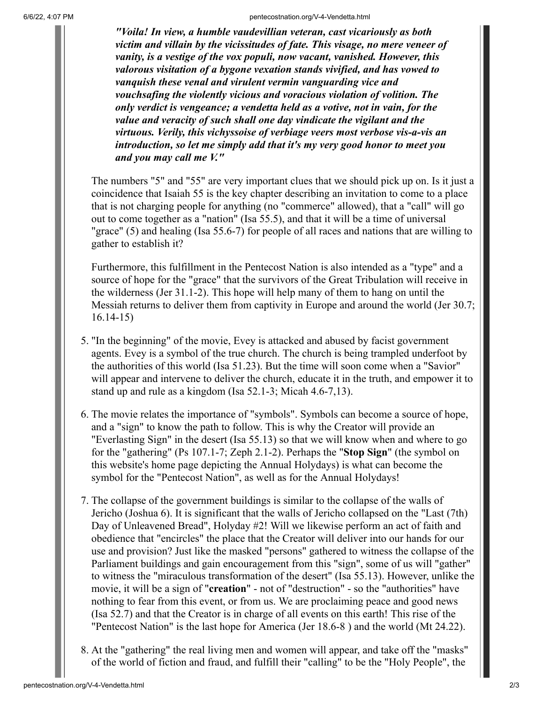6/6/22, 4:07 PM pentecostnation.org/V-4-Vendetta.html

*"Voila! In view, a humble vaudevillian veteran, cast vicariously as both victim and villain by the vicissitudes of fate. This visage, no mere veneer of vanity, is a vestige of the vox populi, now vacant, vanished. However, this valorous visitation of a bygone vexation stands vivified, and has vowed to vanquish these venal and virulent vermin vanguarding vice and vouchsafing the violently vicious and voracious violation of volition. The only verdict is vengeance; a vendetta held as a votive, not in vain, for the value and veracity of such shall one day vindicate the vigilant and the virtuous. Verily, this vichyssoise of verbiage veers most verbose vis-a-vis an introduction, so let me simply add that it's my very good honor to meet you and you may call me V."*

The numbers "5" and "55" are very important clues that we should pick up on. Is it just a coincidence that Isaiah 55 is the key chapter describing an invitation to come to a place that is not charging people for anything (no "commerce" allowed), that a "call" will go out to come together as a "nation" (Isa 55.5), and that it will be a time of universal "grace" (5) and healing (Isa 55.6-7) for people of all races and nations that are willing to gather to establish it?

Furthermore, this fulfillment in the Pentecost Nation is also intended as a "type" and a source of hope for the "grace" that the survivors of the Great Tribulation will receive in the wilderness (Jer 31.1-2). This hope will help many of them to hang on until the Messiah returns to deliver them from captivity in Europe and around the world (Jer 30.7; 16.14-15)

- 5. "In the beginning" of the movie, Evey is attacked and abused by facist government agents. Evey is a symbol of the true church. The church is being trampled underfoot by the authorities of this world (Isa 51.23). But the time will soon come when a "Savior" will appear and intervene to deliver the church, educate it in the truth, and empower it to stand up and rule as a kingdom (Isa 52.1-3; Micah 4.6-7,13).
- 6. The movie relates the importance of "symbols". Symbols can become a source of hope, and a "sign" to know the path to follow. This is why the Creator will provide an "Everlasting Sign" in the desert (Isa 55.13) so that we will know when and where to go for the "gathering" (Ps 107.1-7; Zeph 2.1-2). Perhaps the "**Stop Sign**" (the symbol on this website's home page depicting the Annual Holydays) is what can become the symbol for the "Pentecost Nation", as well as for the Annual Holydays!
- 7. The collapse of the government buildings is similar to the collapse of the walls of Jericho (Joshua 6). It is significant that the walls of Jericho collapsed on the "Last (7th) Day of Unleavened Bread", Holyday #2! Will we likewise perform an act of faith and obedience that "encircles" the place that the Creator will deliver into our hands for our use and provision? Just like the masked "persons" gathered to witness the collapse of the Parliament buildings and gain encouragement from this "sign", some of us will "gather" to witness the "miraculous transformation of the desert" (Isa 55.13). However, unlike the movie, it will be a sign of "**creation**" - not of "destruction" - so the "authorities" have nothing to fear from this event, or from us. We are proclaiming peace and good news (Isa 52.7) and that the Creator is in charge of all events on this earth! This rise of the "Pentecost Nation" is the last hope for America (Jer 18.6-8 ) and the world (Mt 24.22).
- 8. At the "gathering" the real living men and women will appear, and take off the "masks" of the world of fiction and fraud, and fulfill their "calling" to be the "Holy People", the